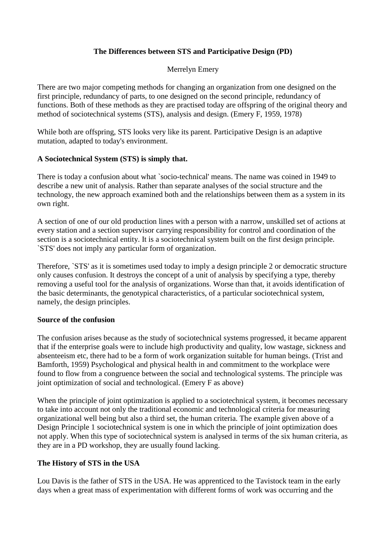# **The Differences between STS and Participative Design (PD)**

### Merrelyn Emery

There are two major competing methods for changing an organization from one designed on the first principle, redundancy of parts, to one designed on the second principle, redundancy of functions. Both of these methods as they are practised today are offspring of the original theory and method of sociotechnical systems (STS), analysis and design. (Emery F, 1959, 1978)

While both are offspring, STS looks very like its parent. Participative Design is an adaptive mutation, adapted to today's environment.

### **A Sociotechnical System (STS) is simply that.**

There is today a confusion about what `socio-technical' means. The name was coined in 1949 to describe a new unit of analysis. Rather than separate analyses of the social structure and the technology, the new approach examined both and the relationships between them as a system in its own right.

A section of one of our old production lines with a person with a narrow, unskilled set of actions at every station and a section supervisor carrying responsibility for control and coordination of the section is a sociotechnical entity. It is a sociotechnical system built on the first design principle. `STS' does not imply any particular form of organization.

Therefore, `STS' as it is sometimes used today to imply a design principle 2 or democratic structure only causes confusion. It destroys the concept of a unit of analysis by specifying a type, thereby removing a useful tool for the analysis of organizations. Worse than that, it avoids identification of the basic determinants, the genotypical characteristics, of a particular sociotechnical system, namely, the design principles.

# **Source of the confusion**

The confusion arises because as the study of sociotechnical systems progressed, it became apparent that if the enterprise goals were to include high productivity and quality, low wastage, sickness and absenteeism etc, there had to be a form of work organization suitable for human beings. (Trist and Bamforth, 1959) Psychological and physical health in and commitment to the workplace were found to flow from a congruence between the social and technological systems. The principle was joint optimization of social and technological. (Emery F as above)

When the principle of joint optimization is applied to a sociotechnical system, it becomes necessary to take into account not only the traditional economic and technological criteria for measuring organizational well being but also a third set, the human criteria. The example given above of a Design Principle 1 sociotechnical system is one in which the principle of joint optimization does not apply. When this type of sociotechnical system is analysed in terms of the six human criteria, as they are in a PD workshop, they are usually found lacking.

# **The History of STS in the USA**

Lou Davis is the father of STS in the USA. He was apprenticed to the Tavistock team in the early days when a great mass of experimentation with different forms of work was occurring and the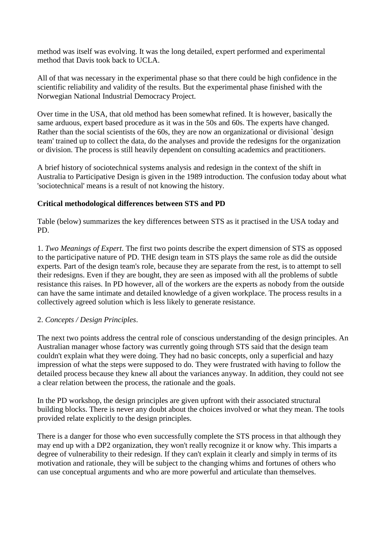method was itself was evolving. It was the long detailed, expert performed and experimental method that Davis took back to UCLA.

All of that was necessary in the experimental phase so that there could be high confidence in the scientific reliability and validity of the results. But the experimental phase finished with the Norwegian National Industrial Democracy Project.

Over time in the USA, that old method has been somewhat refined. It is however, basically the same arduous, expert based procedure as it was in the 50s and 60s. The experts have changed. Rather than the social scientists of the 60s, they are now an organizational or divisional `design team' trained up to collect the data, do the analyses and provide the redesigns for the organization or division. The process is still heavily dependent on consulting academics and practitioners.

A brief history of sociotechnical systems analysis and redesign in the context of the shift in Australia to Participative Design is given in the 1989 introduction. The confusion today about what 'sociotechnical' means is a result of not knowing the history.

# **Critical methodological differences between STS and PD**

Table (below) summarizes the key differences between STS as it practised in the USA today and PD.

1. *Two Meanings of Expert*. The first two points describe the expert dimension of STS as opposed to the participative nature of PD. THE design team in STS plays the same role as did the outside experts. Part of the design team's role, because they are separate from the rest, is to attempt to sell their redesigns. Even if they are bought, they are seen as imposed with all the problems of subtle resistance this raises. In PD however, all of the workers are the experts as nobody from the outside can have the same intimate and detailed knowledge of a given workplace. The process results in a collectively agreed solution which is less likely to generate resistance.

#### 2. *Concepts / Design Principles*.

The next two points address the central role of conscious understanding of the design principles. An Australian manager whose factory was currently going through STS said that the design team couldn't explain what they were doing. They had no basic concepts, only a superficial and hazy impression of what the steps were supposed to do. They were frustrated with having to follow the detailed process because they knew all about the variances anyway. In addition, they could not see a clear relation between the process, the rationale and the goals.

In the PD workshop, the design principles are given upfront with their associated structural building blocks. There is never any doubt about the choices involved or what they mean. The tools provided relate explicitly to the design principles.

There is a danger for those who even successfully complete the STS process in that although they may end up with a DP2 organization, they won't really recognize it or know why. This imparts a degree of vulnerability to their redesign. If they can't explain it clearly and simply in terms of its motivation and rationale, they will be subject to the changing whims and fortunes of others who can use conceptual arguments and who are more powerful and articulate than themselves.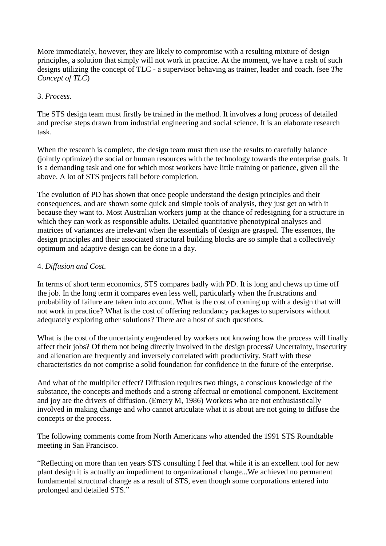More immediately, however, they are likely to compromise with a resulting mixture of design principles, a solution that simply will not work in practice. At the moment, we have a rash of such designs utilizing the concept of TLC - a supervisor behaving as trainer, leader and coach. (see *The Concept of TLC*)

# 3. *Process.*

The STS design team must firstly be trained in the method. It involves a long process of detailed and precise steps drawn from industrial engineering and social science. It is an elaborate research task.

When the research is complete, the design team must then use the results to carefully balance (jointly optimize) the social or human resources with the technology towards the enterprise goals. It is a demanding task and one for which most workers have little training or patience, given all the above. A lot of STS projects fail before completion.

The evolution of PD has shown that once people understand the design principles and their consequences, and are shown some quick and simple tools of analysis, they just get on with it because they want to. Most Australian workers jump at the chance of redesigning for a structure in which they can work as responsible adults. Detailed quantitative phenotypical analyses and matrices of variances are irrelevant when the essentials of design are grasped. The essences, the design principles and their associated structural building blocks are so simple that a collectively optimum and adaptive design can be done in a day.

### 4. *Diffusion and Cost*.

In terms of short term economics, STS compares badly with PD. It is long and chews up time off the job. In the long term it compares even less well, particularly when the frustrations and probability of failure are taken into account. What is the cost of coming up with a design that will not work in practice? What is the cost of offering redundancy packages to supervisors without adequately exploring other solutions? There are a host of such questions.

What is the cost of the uncertainty engendered by workers not knowing how the process will finally affect their jobs? Of them not being directly involved in the design process? Uncertainty, insecurity and alienation are frequently and inversely correlated with productivity. Staff with these characteristics do not comprise a solid foundation for confidence in the future of the enterprise.

And what of the multiplier effect? Diffusion requires two things, a conscious knowledge of the substance, the concepts and methods and a strong affectual or emotional component. Excitement and joy are the drivers of diffusion. (Emery M, 1986) Workers who are not enthusiastically involved in making change and who cannot articulate what it is about are not going to diffuse the concepts or the process.

The following comments come from North Americans who attended the 1991 STS Roundtable meeting in San Francisco.

"Reflecting on more than ten years STS consulting I feel that while it is an excellent tool for new plant design it is actually an impediment to organizational change...We achieved no permanent fundamental structural change as a result of STS, even though some corporations entered into prolonged and detailed STS."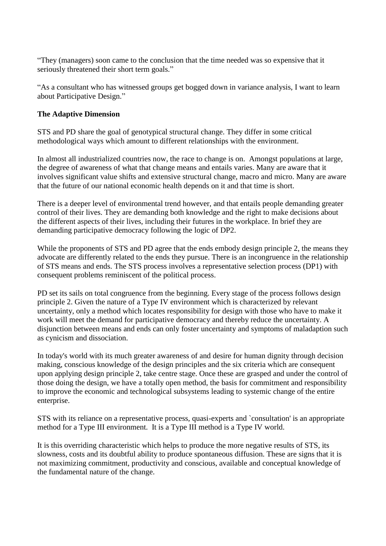"They (managers) soon came to the conclusion that the time needed was so expensive that it seriously threatened their short term goals."

"As a consultant who has witnessed groups get bogged down in variance analysis, I want to learn about Participative Design."

### **The Adaptive Dimension**

STS and PD share the goal of genotypical structural change. They differ in some critical methodological ways which amount to different relationships with the environment.

In almost all industrialized countries now, the race to change is on. Amongst populations at large, the degree of awareness of what that change means and entails varies. Many are aware that it involves significant value shifts and extensive structural change, macro and micro. Many are aware that the future of our national economic health depends on it and that time is short.

There is a deeper level of environmental trend however, and that entails people demanding greater control of their lives. They are demanding both knowledge and the right to make decisions about the different aspects of their lives, including their futures in the workplace. In brief they are demanding participative democracy following the logic of DP2.

While the proponents of STS and PD agree that the ends embody design principle 2, the means they advocate are differently related to the ends they pursue. There is an incongruence in the relationship of STS means and ends. The STS process involves a representative selection process (DP1) with consequent problems reminiscent of the political process.

PD set its sails on total congruence from the beginning. Every stage of the process follows design principle 2. Given the nature of a Type IV environment which is characterized by relevant uncertainty, only a method which locates responsibility for design with those who have to make it work will meet the demand for participative democracy and thereby reduce the uncertainty. A disjunction between means and ends can only foster uncertainty and symptoms of maladaption such as cynicism and dissociation.

In today's world with its much greater awareness of and desire for human dignity through decision making, conscious knowledge of the design principles and the six criteria which are consequent upon applying design principle 2, take centre stage. Once these are grasped and under the control of those doing the design, we have a totally open method, the basis for commitment and responsibility to improve the economic and technological subsystems leading to systemic change of the entire enterprise.

STS with its reliance on a representative process, quasi-experts and `consultation' is an appropriate method for a Type III environment. It is a Type III method is a Type IV world.

It is this overriding characteristic which helps to produce the more negative results of STS, its slowness, costs and its doubtful ability to produce spontaneous diffusion. These are signs that it is not maximizing commitment, productivity and conscious, available and conceptual knowledge of the fundamental nature of the change.